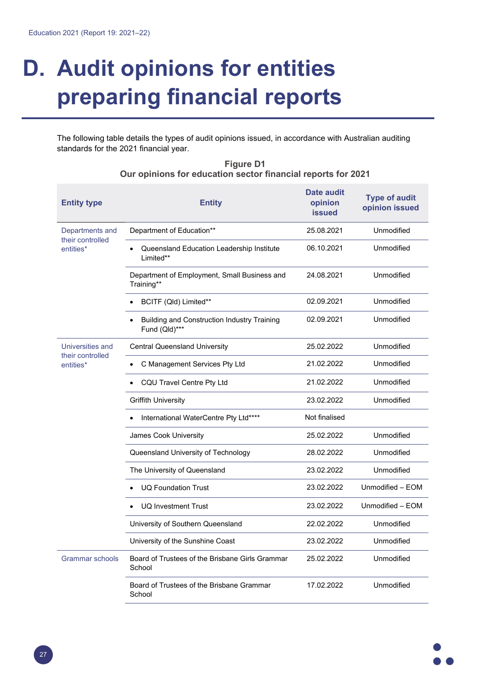## **D. Audit opinions for entities preparing financial reports**

The following table details the types of audit opinions issued, in accordance with Australian auditing standards for the 2021 financial year.

| <b>Entity type</b>                                | Entity                                                       | <b>Date audit</b><br>opinion<br><b>issued</b> | <b>Type of audit</b><br>opinion issued |
|---------------------------------------------------|--------------------------------------------------------------|-----------------------------------------------|----------------------------------------|
| Departments and<br>their controlled<br>entities*  | Department of Education**                                    | 25.08.2021<br>Unmodified                      |                                        |
|                                                   | Queensland Education Leadership Institute<br>Limited**       | 06.10.2021                                    | Unmodified                             |
|                                                   | Department of Employment, Small Business and<br>Training**   | 24.08.2021                                    | Unmodified                             |
|                                                   | BCITF (Qld) Limited**                                        | 02.09.2021                                    | <b>Unmodified</b>                      |
|                                                   | Building and Construction Industry Training<br>Fund (Qld)*** | 02.09.2021                                    | Unmodified                             |
| Universities and<br>their controlled<br>entities* | <b>Central Queensland University</b>                         | 25.02.2022                                    | Unmodified                             |
|                                                   | C Management Services Pty Ltd                                | 21.02.2022                                    | Unmodified                             |
|                                                   | CQU Travel Centre Pty Ltd                                    | 21.02.2022                                    | Unmodified                             |
|                                                   | <b>Griffith University</b>                                   | 23.02.2022                                    | Unmodified                             |
|                                                   | International WaterCentre Pty Ltd****                        | Not finalised                                 |                                        |
|                                                   | James Cook University                                        | 25.02.2022                                    | Unmodified                             |
|                                                   | Queensland University of Technology                          | 28.02.2022                                    | Unmodified                             |
|                                                   | The University of Queensland                                 | 23.02.2022                                    | <b>Unmodified</b>                      |
|                                                   | <b>UQ Foundation Trust</b>                                   | 23.02.2022                                    | Unmodified - EOM                       |
|                                                   | <b>UQ Investment Trust</b>                                   | 23.02.2022                                    | Unmodified - EOM                       |
|                                                   | University of Southern Queensland                            | 22.02.2022                                    | Unmodified                             |
|                                                   | University of the Sunshine Coast                             | 23.02.2022                                    | Unmodified                             |
| Grammar schools                                   | Board of Trustees of the Brisbane Girls Grammar<br>School    | Unmodified<br>25.02.2022                      |                                        |
|                                                   | Board of Trustees of the Brisbane Grammar<br>School          | 17.02.2022                                    | Unmodified                             |

## **Figure D1 Our opinions for education sector financial reports for 2021**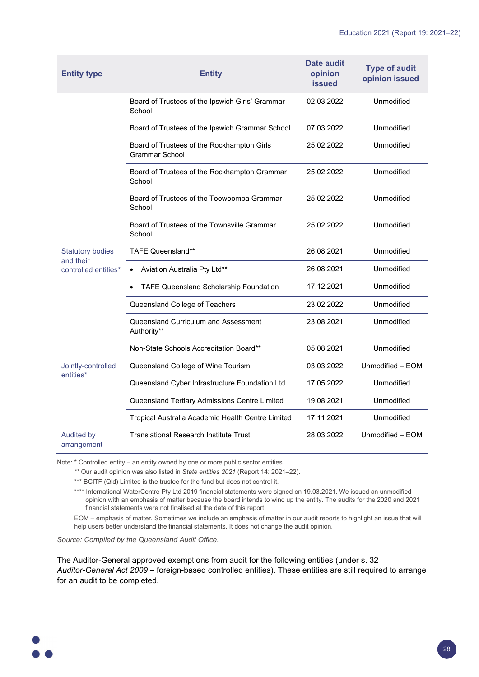| <b>Entity type</b>                                           | <b>Entity</b>                                                | Date audit<br>opinion<br><b>issued</b> | <b>Type of audit</b><br>opinion issued |
|--------------------------------------------------------------|--------------------------------------------------------------|----------------------------------------|----------------------------------------|
|                                                              | Board of Trustees of the Ipswich Girls' Grammar<br>School    | 02.03.2022                             | Unmodified                             |
|                                                              | Board of Trustees of the Ipswich Grammar School              | 07.03.2022                             | Unmodified                             |
|                                                              | Board of Trustees of the Rockhampton Girls<br>Grammar School | 25.02.2022                             | Unmodified                             |
|                                                              | Board of Trustees of the Rockhampton Grammar<br>School       | 25.02.2022                             | Unmodified                             |
|                                                              | Board of Trustees of the Toowoomba Grammar<br>School         | 25.02.2022                             | Unmodified                             |
|                                                              | Board of Trustees of the Townsville Grammar<br>School        | 25.02.2022                             | Unmodified                             |
| <b>Statutory bodies</b><br>and their<br>controlled entities* | <b>TAFE Queensland**</b>                                     | 26.08.2021                             | Unmodified                             |
|                                                              | Aviation Australia Pty Ltd**                                 | 26.08.2021                             | Unmodified                             |
|                                                              | TAFE Queensland Scholarship Foundation                       | 17.12.2021                             | Unmodified                             |
|                                                              | Queensland College of Teachers                               | 23.02.2022                             | Unmodified                             |
|                                                              | Queensland Curriculum and Assessment<br>Authority**          | 23.08.2021                             | Unmodified                             |
|                                                              | Non-State Schools Accreditation Board**                      | 05.08.2021                             | Unmodified                             |
| Jointly-controlled<br>entities*                              | Queensland College of Wine Tourism                           | 03.03.2022                             | Unmodified - EOM                       |
|                                                              | Queensland Cyber Infrastructure Foundation Ltd               | 17.05.2022                             | Unmodified                             |
|                                                              | Queensland Tertiary Admissions Centre Limited                | 19.08.2021                             | Unmodified                             |
|                                                              | Tropical Australia Academic Health Centre Limited            | 17.11.2021                             | Unmodified                             |
| <b>Audited by</b><br>arrangement                             | <b>Translational Research Institute Trust</b>                | 28.03.2022                             | Unmodified - EOM                       |

Note: \* Controlled entity – an entity owned by one or more public sector entities.

 *\*\** Our audit opinion was also listed in *State entities 2021* (Report 14: 2021–22).

\*\*\* BCITF (Qld) Limited is the trustee for the fund but does not control it.

\*\*\*\* International WaterCentre Pty Ltd 2019 financial statements were signed on 19.03.2021. We issued an unmodified opinion with an emphasis of matter because the board intends to wind up the entity. The audits for the 2020 and 2021 financial statements were not finalised at the date of this report.

EOM – emphasis of matter. Sometimes we include an emphasis of matter in our audit reports to highlight an issue that will help users better understand the financial statements. It does not change the audit opinion.

*Source: Compiled by the Queensland Audit Office.*

The Auditor-General approved exemptions from audit for the following entities (under s. 32 *Auditor-General Act 2009* – foreign-based controlled entities). These entities are still required to arrange for an audit to be completed.